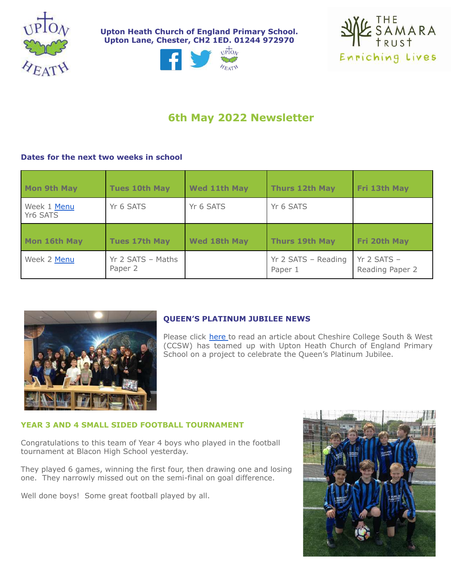

**Upton Heath Church of England Primary School. Upton Lane, Chester, CH2 1ED. 01244 972970**





# **6th May 2022 Newsletter**

# **Dates for the next two weeks in school**

| <b>Mon 9th May</b>      | <b>Tues 10th May</b>         | <b>Wed 11th May</b> | <b>Thurs 12th May</b>          | Fri 13th May                       |
|-------------------------|------------------------------|---------------------|--------------------------------|------------------------------------|
| Week 1 Menu<br>Yr6 SATS | Yr 6 SATS                    | Yr 6 SATS           | Yr 6 SATS                      |                                    |
| Mon 16th May            | <b>Tues 17th May</b>         | <b>Wed 18th May</b> | <b>Thurs 19th May</b>          | Fri 20th May                       |
| Week 2 Menu             | Yr 2 SATS - Maths<br>Paper 2 |                     | Yr 2 SATS - Reading<br>Paper 1 | $Yr$ 2 SATS $-$<br>Reading Paper 2 |



# **QUEEN'S PLATINUM JUBILEE NEWS**

Please click [here](https://www.chesterstandard.co.uk/news/20110425.cheshire-college-joins-chester-school-queens-platinum-jubilee-musical-show/) to read an article about Cheshire College South & West (CCSW) has teamed up with Upton Heath Church of England Primary School on a project to celebrate the Queen's Platinum Jubilee.

## **YEAR 3 AND 4 SMALL SIDED FOOTBALL TOURNAMENT**

Congratulations to this team of Year 4 boys who played in the football tournament at Blacon High School yesterday.

They played 6 games, winning the first four, then drawing one and losing one. They narrowly missed out on the semi-final on goal difference.

Well done boys! Some great football played by all.

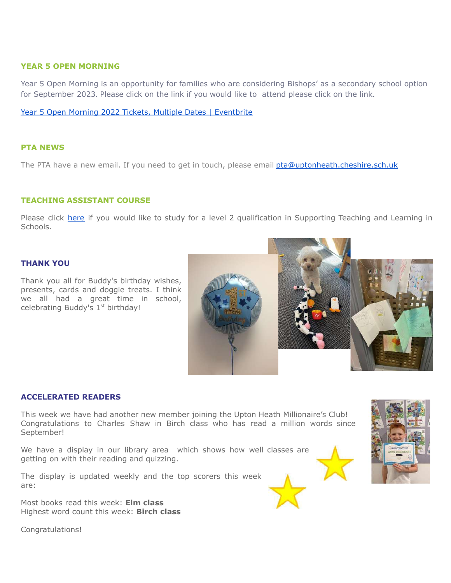#### **YEAR 5 OPEN MORNING**

Year 5 Open Morning is an opportunity for families who are considering Bishops' as a secondary school option for September 2023. Please click on the link if you would like to attend please click on the link.

Year 5 Open Morning 2022 Tickets, Multiple Dates | [Eventbrite](https://www.eventbrite.co.uk/e/year-5-open-morning-2022-tickets-311779359457)

#### **PTA NEWS**

The PTA have a new email. If you need to get in touch, please email [pta@uptonheath.cheshire.sch.uk](mailto:pta@uptonheath.cheshire.sch.uk)

#### **TEACHING ASSISTANT COURSE**

Please click [here](https://docs.google.com/document/d/1TXjFZ3W_EuF2fWQojw7WGzHSLZtmLc3wFa4X9mnZ1u0/edit) if you would like to study for a level 2 qualification in Supporting Teaching and Learning in Schools.

## **THANK YOU**

Thank you all for Buddy's birthday wishes, presents, cards and doggie treats. I think we all had a great time in school, celebrating Buddy's 1<sup>st</sup> birthday!

#### **ACCELERATED READERS**

This week we have had another new member joining the Upton Heath Millionaire's Club! Congratulations to Charles Shaw in Birch class who has read a million words since September!

We have a display in our library area which shows how well classes are getting on with their reading and quizzing.

The display is updated weekly and the top scorers this week are:

Most books read this week: **Elm class** Highest word count this week: **Birch class**

Congratulations!





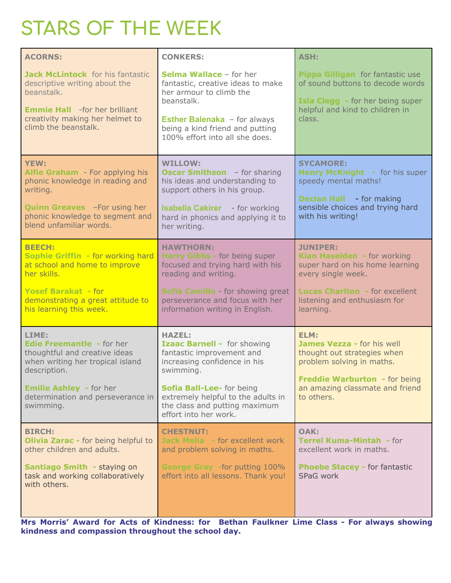# **STARS OF THE WEEK**

| <b>ACORNS:</b>                                                                                                                                                                                                     | <b>CONKERS:</b>                                                                                                                                                                                                                                     | <b>ASH:</b>                                                                                                                                                                                   |  |
|--------------------------------------------------------------------------------------------------------------------------------------------------------------------------------------------------------------------|-----------------------------------------------------------------------------------------------------------------------------------------------------------------------------------------------------------------------------------------------------|-----------------------------------------------------------------------------------------------------------------------------------------------------------------------------------------------|--|
| Jack McLintock for his fantastic<br>descriptive writing about the<br>beanstalk.<br><b>Emmie Hall</b> -for her brilliant<br>creativity making her helmet to<br>climb the beanstalk.                                 | <b>Selma Wallace - for her</b><br>fantastic, creative ideas to make<br>her armour to climb the<br>beanstalk.<br><b>Esther Balenaka</b> - for always<br>being a kind friend and putting<br>100% effort into all she does.                            | Pippa Gilligan for fantastic use<br>of sound buttons to decode words<br>Isla Clegg - for her being super<br>helpful and kind to children in<br>class.                                         |  |
| <b>YEW:</b><br>Alfie Graham - For applying his<br>phonic knowledge in reading and<br>writing.<br><b>Quinn Greaves</b> - For using her<br>phonic knowledge to segment and<br>blend unfamiliar words.                | <b>WILLOW:</b><br><b>Oscar Smithson</b> - for sharing<br>his ideas and understanding to<br>support others in his group.<br><b>Isabella Cakirer</b> - for working<br>hard in phonics and applying it to<br>her writing.                              | <b>SYCAMORE:</b><br><b>Henry McKnight - for his super</b><br>speedy mental maths!<br><b>Declan Hall</b> - for making<br>sensible choices and trying hard<br>with his writing!                 |  |
| <b>BEECH:</b><br>Sophie Griffin - for working hard<br>at school and home to improve<br>her skills.<br><b>Yosef Barakat - for</b><br>demonstrating a great attitude to<br>his learning this week.                   | <b>HAWTHORN:</b><br>Harry Gibbs - for being super<br>focused and trying hard with his<br>reading and writing.<br>Sofia Camillo - for showing great<br>perseverance and focus with her<br>information writing in English.                            | <b>JUNIPER:</b><br>Kian Haselden - for working<br>super hard on his home learning<br>every single week.<br><b>Lucas Charlton - for excellent</b><br>listening and enthusiasm for<br>learning. |  |
| LIME:<br><b>Edie Freemantle - for her</b><br>thoughtful and creative ideas<br>when writing her tropical island<br>description.<br><b>Emilie Ashley - for her</b><br>determination and perseverance in<br>swimming. | <b>HAZEL:</b><br>Izaac Barnell - for showing<br>fantastic improvement and<br>increasing confidence in his<br>swimming.<br>Sofia Ball-Lee- for being<br>extremely helpful to the adults in<br>the class and putting maximum<br>effort into her work. | ELM:<br><b>James Vezza - for his well</b><br>thought out strategies when<br>problem solving in maths.<br>Freddie Warburton - for being<br>an amazing classmate and friend<br>to others.       |  |
| <b>BIRCH:</b><br>Olivia Zarac - for being helpful to<br>other children and adults.<br>Santiago Smith - staying on<br>task and working collaboratively<br>with others.                                              | <b>CHESTNUT:</b><br><b>Jack Melia</b> - for excellent work<br>and problem solving in maths.<br>George Gray -for putting 100%<br>effort into all lessons. Thank you!                                                                                 | OAK:<br><b>Terrel Kuma-Mintah - for</b><br>excellent work in maths.<br><b>Phoebe Stacey - for fantastic</b><br>SPaG work                                                                      |  |

**Mrs Morris' Award for Acts of Kindness: for Bethan Faulkner Lime Class - For always showing kindness and compassion throughout the school day.**